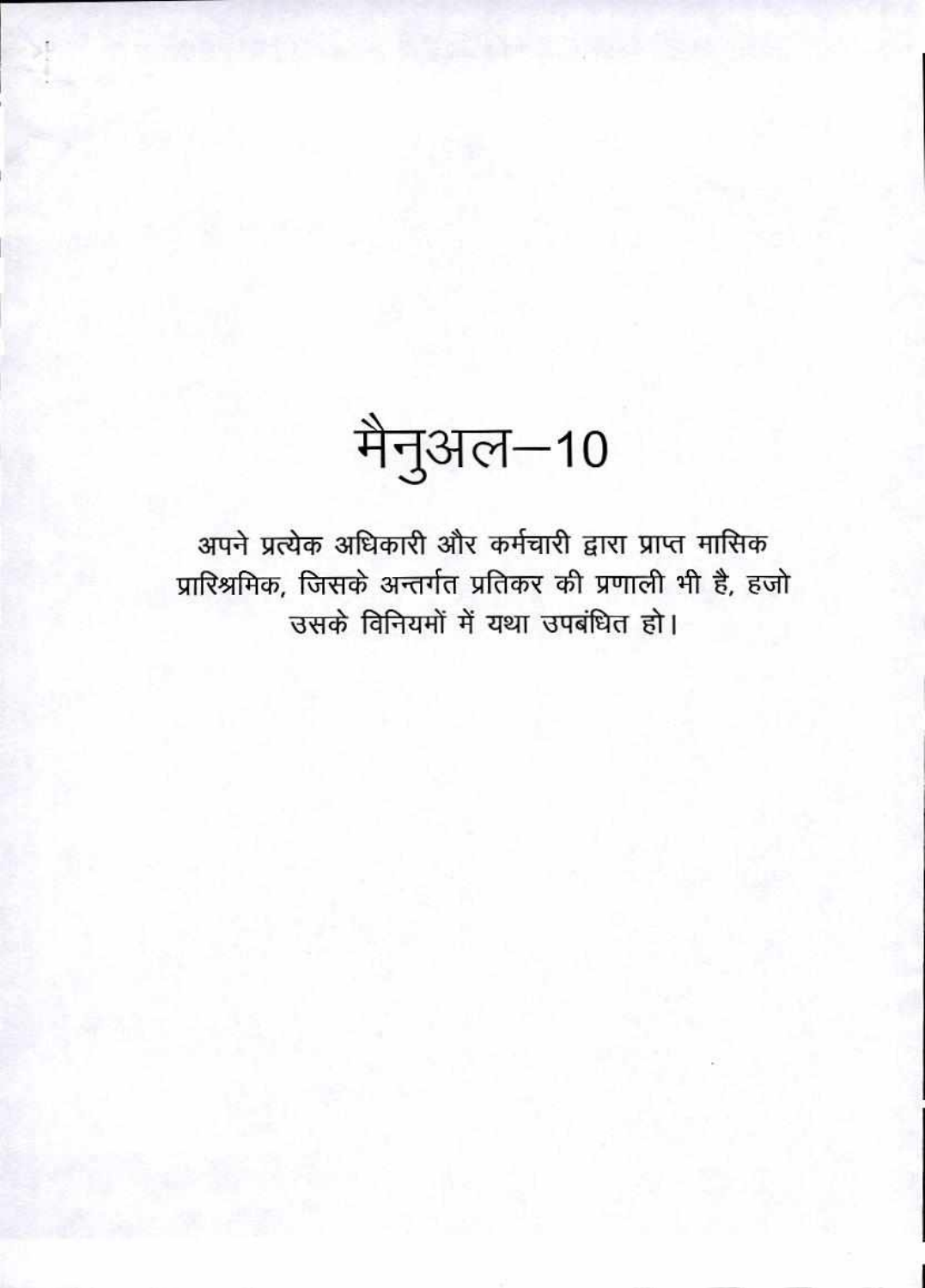मैनुअल-10

अपने प्रत्येक अधिकारी और कर्मचारी द्वारा प्राप्त मासिक प्रारिश्रमिक, जिसके अन्तर्गत प्रतिकर की प्रणाली भी है, हजो उसके विनियमों में यथा उपबंधित हो।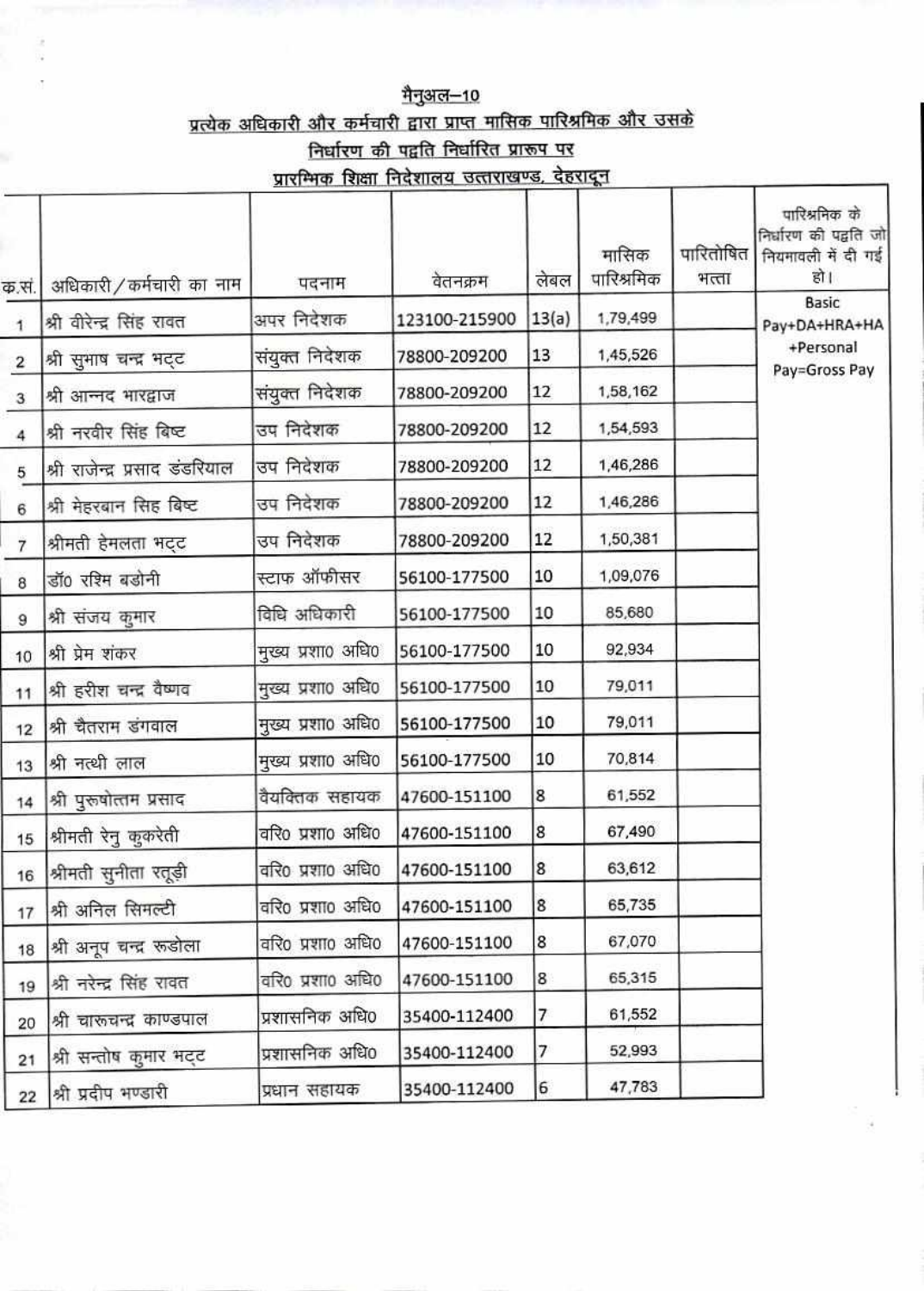## <u>मैनुअल–10</u> प्रत्येक अधिकारी और कर्मचारी द्वारा प्राप्त मासिक पारिश्रमिक और उसके निर्धारण की पद्वति निर्धारित प्रारूप पर प्रारम्भिक शिक्षा निदेशालय उत्तराखण्ड, देहरादून

|                | अधिकारी/कर्मचारी का नाम        | पदनाम             | वेतनक्रम      | लेबल  | मासिक<br>पारिश्रमिक | पारितोषित<br>भत्ता | पारिश्रनिक के<br>निर्धारण की पद्वति जो<br>नियमावली में दी गई<br>हो । |
|----------------|--------------------------------|-------------------|---------------|-------|---------------------|--------------------|----------------------------------------------------------------------|
| क.सं.          |                                | अपर निदेशक        | 123100-215900 | 13(a) | 1,79,499            |                    | Basic                                                                |
| $\mathbf{1}$   | श्री वीरेन्द्र सिंह रावत       |                   |               |       |                     |                    | Pay+DA+HRA+HA<br>+Personal                                           |
| $\overline{2}$ | श्री सुभाष चन्द्र भट्ट         | संयुक्त निदेशक    | 78800-209200  | 13    | 1,45,526            |                    | Pay=Gross Pay                                                        |
| 3              | श्री आन्नद भारद्वाज            | संयुक्त निदेशक    | 78800-209200  | 12    | 1,58,162            |                    |                                                                      |
| 4              | श्री नरवीर सिंह बिष्ट          | उप निदेशक         | 78800-209200  | 12    | 1,54,593            |                    |                                                                      |
| 5              | श्री राजेन्द्र प्रसाद डंडरियाल | उप निदेशक         | 78800-209200  | 12    | 1,46,286            |                    |                                                                      |
| 6              | श्री मेहरबान सिंह बिष्ट        | उप निदेशक         | 78800-209200  | 12    | 1,46,286            |                    |                                                                      |
| 7              | श्रीमती हेमलता भट्ट            | उप निदेशक         | 78800-209200  | 12    | 1,50,381            |                    |                                                                      |
| 8              | डॉ0 रश्मि बडोनी                | स्टाफ ऑफीसर       | 56100-177500  | 10    | 1,09,076            |                    |                                                                      |
| 9              | श्री संजय कुमार                | विधि अधिकारी      | 56100-177500  | 10    | 85,680              |                    |                                                                      |
| 10             | श्री प्रेम शंकर                | मुख्य प्रशा0 अधि0 | 56100-177500  | 10    | 92,934              |                    |                                                                      |
| 11             | श्री हरीश चन्द्र वैष्णव        | मुख्य प्रशा0 अधि0 | 56100-177500  | 10    | 79,011              |                    |                                                                      |
| 12             | श्री चैतराम डंगवाल             | मुख्य प्रशा0 अधि0 | 56100-177500  | 10    | 79,011              |                    |                                                                      |
| 13             | श्री नत्थी लाल                 | मुख्य प्रशा0 अधि0 | 56100-177500  | 10    | 70,814              |                    |                                                                      |
| 14             | श्री पुरूषोत्तम प्रसाद         | वैयक्तिक सहायक    | 47600-151100  | 8     | 61,552              |                    |                                                                      |
| 15             | श्रीमती रेनु कुकरेती           | वरि0 प्रशा0 अधि0  | 47600-151100  | 8     | 67,490              |                    |                                                                      |
| 16             | श्रीमती सुनीता रतूड़ी          | वरि0 प्रशा0 अधि0  | 47600-151100  | 8     | 63,612              |                    |                                                                      |
| 17             | श्री अनिल सिमल्टी              | वरि0 प्रशा0 अधि0  | 47600-151100  | 8     | 65,735              |                    |                                                                      |
| 18             | श्री अनूप चन्द्र रूडोला        | वरि0 प्रशा0 अधि0  | 47600-151100  | 8     | 67,070              |                    |                                                                      |
| 19             | श्री नरेन्द्र सिंह रावत        | वरि0 प्रशा0 अधि0  | 47600-151100  | 8     | 65,315              |                    |                                                                      |
| 20             | श्री चारूचन्द्र काण्डपाल       | प्रशासनिक अधि0    | 35400-112400  | 7     | 61,552              |                    |                                                                      |
| 21             | श्री सन्तोष कुमार भट्ट         | प्रशासनिक अधि0    | 35400-112400  | 7     | 52,993              |                    |                                                                      |
| 22             | श्री प्रदीप भण्डारी            | प्रधान सहायक      | 35400-112400  | 6     | 47,783              |                    |                                                                      |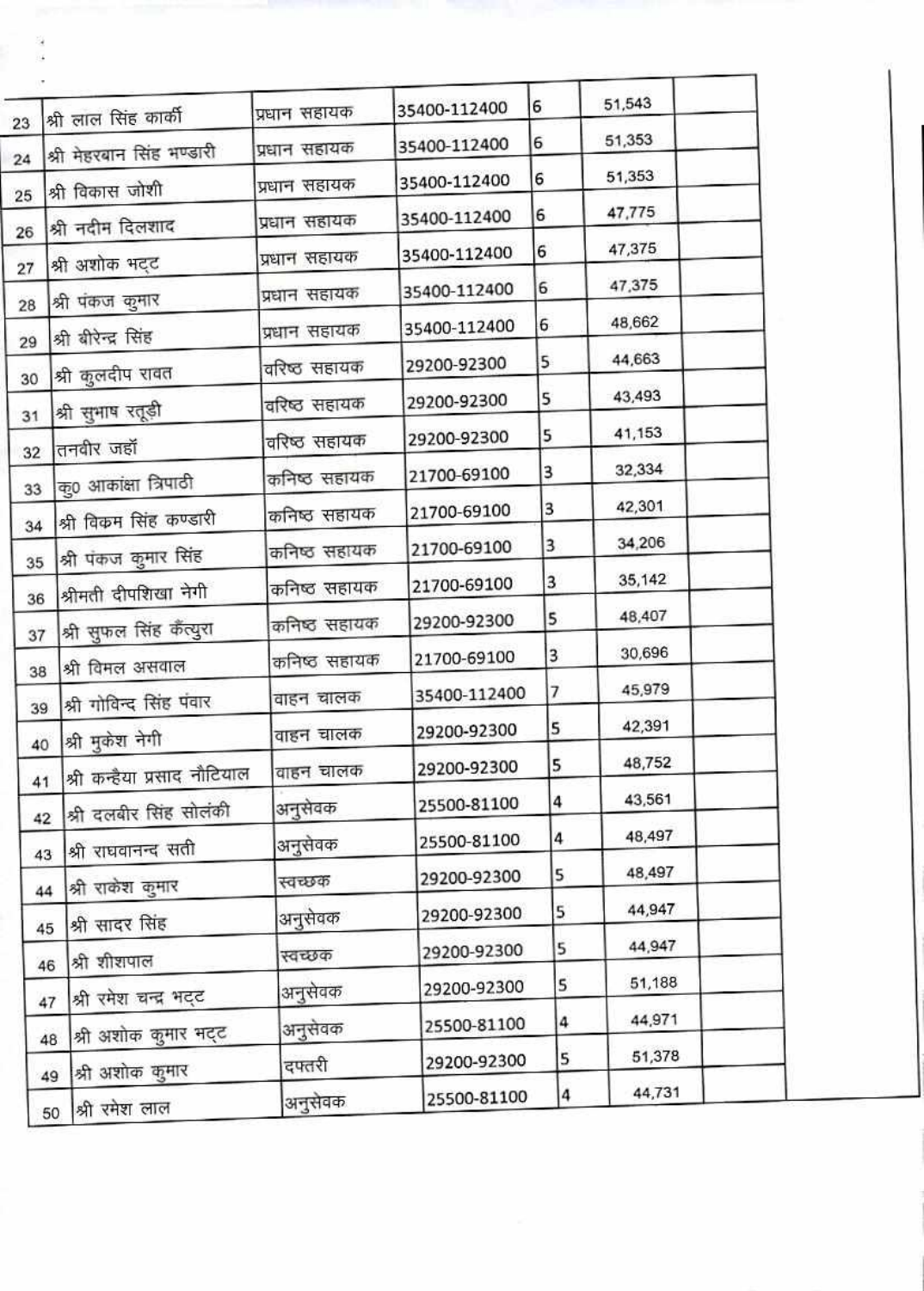|    |                             |              |              |   | 51,543 |  |
|----|-----------------------------|--------------|--------------|---|--------|--|
| 23 | श्री लाल सिंह कार्की        | प्रधान सहायक | 35400-112400 | 6 |        |  |
| 24 | श्री मेहरवान सिंह भण्डारी   | प्रधान सहायक | 35400-112400 | 6 | 51,353 |  |
| 25 | श्री विकास जोशी             | प्रधान सहायक | 35400-112400 | 6 | 51,353 |  |
| 26 | श्री नदीम दिलशाद            | प्रधान सहायक | 35400-112400 | 6 | 47,775 |  |
| 27 | श्री अशोक भट्ट              | प्रधान सहायक | 35400-112400 | 6 | 47,375 |  |
|    | श्री पंकज कुमार             | प्रधान सहायक | 35400-112400 | 6 | 47,375 |  |
| 28 | श्री बीरेन्द्र सिंह         | प्रधान सहायक | 35400-112400 | 6 | 48,662 |  |
| 29 |                             | वरिष्ठ सहायक | 29200-92300  | 5 | 44,663 |  |
| 30 | श्री कुलदीप रावत            | वरिष्ठ सहायक | 29200-92300  | 5 | 43,493 |  |
| 31 | श्री सुभाष रतूड़ी           | वरिष्ठ सहायक | 29200-92300  | 5 | 41,153 |  |
| 32 | तनवीर जहाँ                  | कनिष्ठ सहायक | 21700-69100  | 3 | 32,334 |  |
| 33 | कु0 आकांक्षा त्रिपाठी       | कनिष्ठ सहायक | 21700-69100  | 3 | 42,301 |  |
| 34 | श्री विकम सिंह कण्डारी      |              | 21700-69100  | 3 | 34,206 |  |
| 35 | श्री पंकज कुमार सिंह        | कनिष्ठ सहायक |              | 3 | 35,142 |  |
| 36 | श्रीमती दीपशिखा नेगी        | कनिष्ठ सहायक | 21700-69100  | 5 | 48,407 |  |
| 37 | श्री सुफल सिंह कैंत्युरा    | कनिष्ठ सहायक | 29200-92300  |   |        |  |
| 38 | श्री विमल असवाल             | कनिष्ठ सहायक | 21700-69100  | 3 | 30,696 |  |
| 39 | श्री गोविन्द सिंह पंवार     | वाहन चालक    | 35400-112400 | 7 | 45,979 |  |
| 40 | श्री मुकेश नेगी             | वाहन चालक    | 29200-92300  | 5 | 42,391 |  |
| 41 | श्री कन्हैया प्रसाद नौटियाल | वाहन चालक    | 29200-92300  | 5 | 48,752 |  |
| 42 | श्री दलबीर सिंह सोलंकी      | अनुसेवक      | 25500-81100  | 4 | 43,561 |  |
|    | श्री राघवानन्द सती          | अनुसेवक      | 25500-81100  | 4 | 48,497 |  |
| 43 |                             | स्वच्छक      | 29200-92300  | 5 | 48,497 |  |
| 44 | श्री राकेश कुमार            | अनुसेवक      | 29200-92300  | 5 | 44,947 |  |
| 45 | श्री सादर सिंह              | स्वच्छक      | 29200-92300  | 5 | 44,947 |  |
| 46 | श्री शीशपाल                 |              | 29200-92300  | 5 | 51,188 |  |
| 47 | श्री रमेश चन्द्र भट्ट       | अनुसेवक      | 25500-81100  | 4 | 44,971 |  |
| 48 | श्री अशोक कुमार मट्ट        | अनुसेवक      |              |   | 51,378 |  |
| 49 | श्री अशोक कुमार             | दफ्तरी       | 29200-92300  | 5 |        |  |
|    | $50$  श्री रमेश लाल         | अनुसेवक      | 25500-81100  | 4 | 44,731 |  |

ä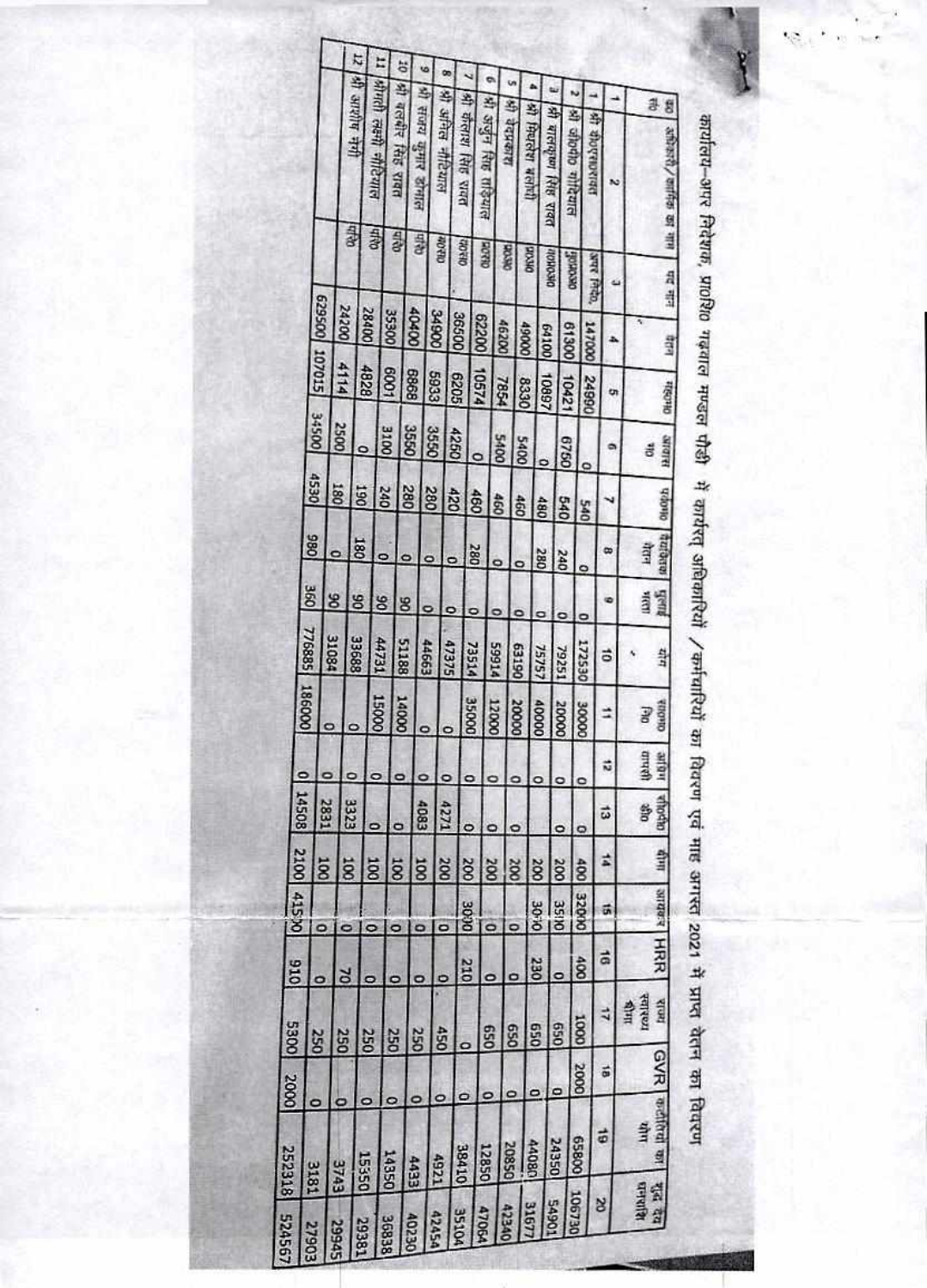|                 | 107015<br><b>34500</b>   | 005629 | Q4h<br>24200<br>4114<br>2500 | 12<br>lete hijaine ijs)<br>QALIA<br>28400<br>8284<br>۰ | strait ash micana<br>1009<br>3100 | ö<br>श्री बलबीर सिंह रावत<br>QAD <sub>1</sub><br>35300 | G<br>श्री संजय कुमार डोमाल<br>Q4b<br><b>QQ\$Q\$</b><br>8989<br>3550 | भी अनित नीटियाल<br><b>COLL-OUT</b><br>34900<br><b>5933</b><br>3550 | œ<br>36500<br>9205<br>4250 | श्री कॅलाश सिंह रावत<br>013.02<br>10574<br>o | 0<br>भी अर्जुन सिष्ठ ताड़याल<br><b>GEERS</b><br>00229 | शि वेदप्रकाश<br>OK OC<br>46200<br>1854<br><b>S400</b> | <b>All Process weivil</b><br><b>DKYOZ</b><br>00061<br>8330<br>5400 | 0            | नी बालकृष्ण सिंह रावत<br><b>DISOROL</b><br>64100<br>10897 | si alotho virtarin<br>peopole<br>00819<br>10421<br>0928 |               | O  | я фортскоевая<br>N<br>arge Pitch,<br>ú<br><b>000211</b><br>d<br>24990<br>on<br>۰ |
|-----------------|--------------------------|--------|------------------------------|--------------------------------------------------------|-----------------------------------|--------------------------------------------------------|---------------------------------------------------------------------|--------------------------------------------------------------------|----------------------------|----------------------------------------------|-------------------------------------------------------|-------------------------------------------------------|--------------------------------------------------------------------|--------------|-----------------------------------------------------------|---------------------------------------------------------|---------------|----|----------------------------------------------------------------------------------|
|                 | 4530<br>880              |        | 180                          | 061<br>180                                             | 240                               |                                                        | 280                                                                 | 280                                                                | OZÞ                        | 480                                          | 460                                                   |                                                       | 460                                                                | 480          |                                                           | 0#9                                                     | <b>DWS</b>    |    | æ                                                                                |
|                 | 360                      | 8      |                              | 8                                                      | o<br>8                            | $\ddot{\phantom{1}}$<br>8                              |                                                                     | ۰                                                                  | $\mathbf{c}$<br>۰          | 280                                          | ö                                                     |                                                       | ۰                                                                  | 280          | <b>240</b>                                                |                                                         | ۰             |    |                                                                                  |
|                 | 776885                   | 31084  |                              | 33688                                                  | <b>TELtt</b>                      | 51188                                                  |                                                                     | 44663                                                              | 47375                      | ۰<br>73514                                   | <b>PT665</b>                                          |                                                       | ۰<br>061E9                                                         | ۰<br>75757   | ۰<br>79251                                                |                                                         | ۰<br>172530   |    | ö                                                                                |
|                 | 186000                   |        | ۰                            |                                                        | 15000                             | COOPT                                                  |                                                                     |                                                                    |                            | 350000                                       | 12000                                                 |                                                       | 20000                                                              | 40000        | 20000                                                     |                                                         | <b>3000R</b>  |    | ₫                                                                                |
|                 | $\overline{\phantom{0}}$ |        |                              |                                                        |                                   | ۰                                                      |                                                                     |                                                                    |                            |                                              |                                                       |                                                       | ۰                                                                  | ۰            | ۰                                                         |                                                         | ⋼<br>c        |    | ŵ                                                                                |
|                 | 14508                    | 2831   | 3323                         | ۰                                                      |                                   | O                                                      | 4083                                                                |                                                                    | 4271                       | $\circ$                                      | ۰                                                     |                                                       | ۰                                                                  |              | ۰                                                         |                                                         | Q             |    | 5                                                                                |
| 2100            |                          | 100    | 100                          | 100                                                    |                                   | ä                                                      | 100                                                                 | 200                                                                |                            | 200                                          | 200                                                   |                                                       | <b>Soc</b>                                                         | 200          | <b>200</b>                                                |                                                         | 400           |    | #                                                                                |
| <b>OCST#</b>    |                          |        | o                            | o                                                      |                                   | ۰                                                      | o                                                                   | O                                                                  |                            | 3000                                         |                                                       |                                                       | $\overline{a}$                                                     | <b>DI-DE</b> | <b>3510</b>                                               |                                                         | <b>OKIOZE</b> | 닭  |                                                                                  |
| OT <sub>6</sub> | O                        |        | <b>DZ</b>                    |                                                        |                                   | ۰                                                      | o                                                                   |                                                                    |                            | 210                                          | ۰                                                     |                                                       | o                                                                  | 230          | o                                                         |                                                         | 80            | ã  |                                                                                  |
| 5300            | 250                      |        | 250                          | 250                                                    |                                   | 250                                                    | 250                                                                 | 450                                                                |                            |                                              | OS9                                                   |                                                       | 059                                                                | 059          | OS9                                                       |                                                         | <b>COOL</b>   | 4  |                                                                                  |
| 2000            |                          |        |                              |                                                        |                                   |                                                        |                                                                     |                                                                    |                            | o                                            | $\circ$                                               | ۰                                                     |                                                                    | $\circ$      | ٥                                                         |                                                         | 2000          | si |                                                                                  |
| 252318          | 0<br><b>3181</b>         |        | o<br><b>SANS</b>             | 0<br>15350                                             | 14350                             | ۰                                                      | 0<br><b>EEVV</b>                                                    | 0<br>4921                                                          |                            | 38410                                        | 12850                                                 | 20850                                                 |                                                                    | 44080        | 24350                                                     |                                                         | 00859         | 61 |                                                                                  |
| 524567          | 27903                    |        | 29945                        | 19381                                                  | 36838                             |                                                        | <b>A0230</b>                                                        | 42454                                                              | <b>35104</b>               |                                              | <b>47054</b>                                          | 42340                                                 | 31677                                                              |              | <b>LOGV5</b>                                              | 106730                                                  |               | ¥  |                                                                                  |